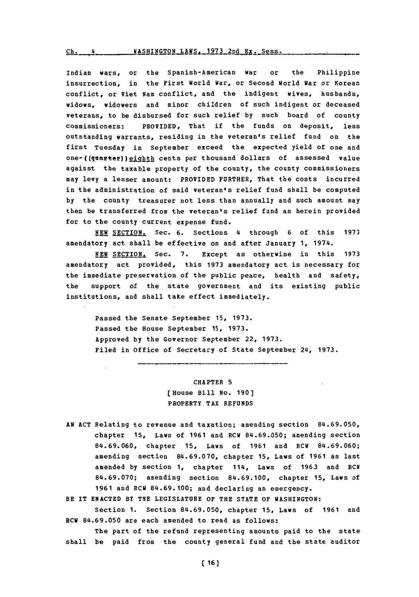$\frac{c_{h.}}{4}$  **WASHINGTON\_LAWS. 1973 2nd Ex. Sess.** 

Indian wars, or the Spanish-American war or the Philippine insurrection, in the First World War, or Second World War or Korean conflict, or Viet Nam conflict, and the indigent wives, husbands, widows, widowers and minor children of such indigent or deceased veterans, to be disbursed for such relief **by** such board of county commissioners: PROVIDED, That if the funds on deposit, less outstanding warrants, residing in the veteran's relief fund on the first Tuesday in September exceed the expected yield of one and one-((quarter)) eighth cents per thousand dollars of assessed value against the taxable property of the county, the county commissioners may levy a lesser amount: PROVIDED FURTHER, That the costs incurred in the administration of said veteran's relief fund shall be computed **by** the county treasurer not less than annually and such amount may then be transferred from the veteran's relief fund as herein provided for to the county current expense fund.

**NEW SECTION.** Sec. **6.** Sections 4 through **6** of this **1973** amendatory act shall be effective on and after January **1,** 1974.

**NEW** SECTION. Sec. **7.** Except as otherwise in this **1973** amendatory act provided, this **1973** amendatory act is necessary for the immediate preservation of the public peace, health and safety, the support of the state government and its existing public institutions, and shall take effect immediately.

Passed the Senate September **15, 1973.** Passed the House September **15, 1973.** Approved **by** the Governor September 22, **1973.** Filed in Office of Secretary of State September 24, 1973.

> CHAPTER **5** [House Bill **No. 190]** PROPERTY TAX **REFUNDS**

**An ACT** Relating to revenue and taxation; amending section **84.69.050,** chapter **15,** Laws of **1961** and RCW **84.69.050;** amending section **84.69.060,** chapter **15,** Laws of **1961** and RCW **84.69.060;** amending section **84.69.070,** chapter **15,** Laws of **1961** as last amended **by** section **1,** chapter 114, Laws of **1963** and RCW **84.69.070;** amending section **84.69.100,** chapter **15,** Laws of **1961** and ECW **84.69.100;** and declaring an emergency.

BE IT **ENACTED** BY THE LEGISLATURE OF THE **STATE** OF **WASHINGTON:**

Section **1.** Section **84.69.050,** chapter **15,** Laws of **1961** and RCW **84.69.050** are each amended to read as follows:

The part of the refund representing amounts paid to the state shall be paid from the county general fund and the state auditor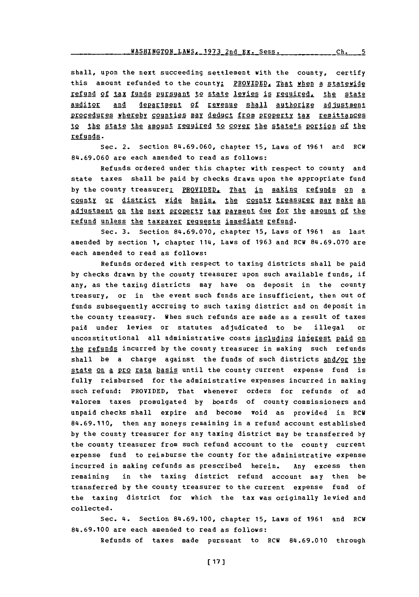shall, upon the next succeeding settlement with the county, certify this amount refunded to the county: PROVIDED, That when a statewide refund of tax funds pursuant to state levies is required, the state auditor and department of revenue shall authorize adjustment procedures whereby counties may deduct from property tax remittances to the state the amount required to cover the state's portion of the refunds.

Sec. 2. Section **84.69.060,** chapter **15,** Laws of **1961** and RCW **814.69.060** are each amended to read as follows:

Refunds ordered under this chapter with respect to county and state taxes shall be paid **by** checks drawn upon the appropriate fund by the county treasurer<u>: PROVIDED, That in making refunds on a</u> county or district wide basis, the county treasurer may make an adjustment on the next property tax payment due for the amount of the refund unless the taxpayer requests immediate refund.

Sec. **3.** Section **84.69.070,** chapter **15,** Laws of **1961** as last amended **by** section **1,** chapter 114, Laws of **1963** and RCW **84.69.070** are each amended to read as follows:

Refunds ordered with respect to taxing districts shall be paid **by** checks drawn **by** the county treasurer upon such available funds, if any, as the taxing districts may have on deposit in the county treasury, or in the event such funds are insufficient, then out of funds subsequently accruing to such taxing district and on deposit in the county treasury. when such refunds are made as a result of taxes paid under levies or statutes adjudicated to be illegal or unconstitutional all administrative costs including interest paid on the refunds incurred **by** the county treasurer in making such refunds shall be a charge against the funds of such districts and/or the state on a pro rata basis until the county current expense fund is fully reimbursed for the administrative expenses incurred in making such refund: PROVIDED, That whenever orders for refunds of ad valorem taxes promulgated **by** boards of county commissioners and unpaid checks shall expire and become void as provided in RCW **84.69.110,** then any moneys remaining in a refund account established **by** the county treasurer for any taxing district may be transferred **by** the county treasurer from such refund account to the county current expense fund to reimburse the county for the administrative expense incurred in making refunds as prescribed herein. Any excess then remaining in the taxing district refund account may then be transferred **by** the county treasurer to the current expense fund of the taxing district for which the tax was originally levied and collected.

Sec. 4. Section **84.69.100,** chapter **15,** Laws of **1961** and RCW 84.69.100 are each amended to read as follows:

Refunds of taxes made pursuant to RCW **84.69.010** through